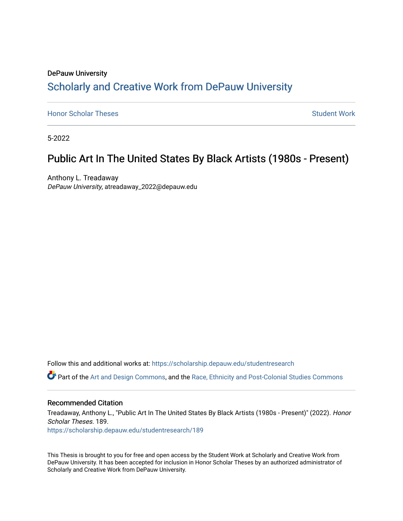# DePauw University Scholarly and [Creative Work from DePauw Univ](https://scholarship.depauw.edu/)ersity

**[Honor Scholar Theses](https://scholarship.depauw.edu/studentresearch) [Student Work](https://scholarship.depauw.edu/studentwork) Student Work Student Work** 

5-2022

# Public Art In The United States By Black Artists (1980s - Present)

Anthony L. Treadaway DePauw University, atreadaway\_2022@depauw.edu

Follow this and additional works at: [https://scholarship.depauw.edu/studentresearch](https://scholarship.depauw.edu/studentresearch?utm_source=scholarship.depauw.edu%2Fstudentresearch%2F189&utm_medium=PDF&utm_campaign=PDFCoverPages)

Part of the [Art and Design Commons](https://network.bepress.com/hgg/discipline/1049?utm_source=scholarship.depauw.edu%2Fstudentresearch%2F189&utm_medium=PDF&utm_campaign=PDFCoverPages), and the [Race, Ethnicity and Post-Colonial Studies Commons](https://network.bepress.com/hgg/discipline/566?utm_source=scholarship.depauw.edu%2Fstudentresearch%2F189&utm_medium=PDF&utm_campaign=PDFCoverPages)

#### Recommended Citation

Treadaway, Anthony L., "Public Art In The United States By Black Artists (1980s - Present)" (2022). Honor Scholar Theses. 189.

[https://scholarship.depauw.edu/studentresearch/189](https://scholarship.depauw.edu/studentresearch/189?utm_source=scholarship.depauw.edu%2Fstudentresearch%2F189&utm_medium=PDF&utm_campaign=PDFCoverPages)

This Thesis is brought to you for free and open access by the Student Work at Scholarly and Creative Work from DePauw University. It has been accepted for inclusion in Honor Scholar Theses by an authorized administrator of Scholarly and Creative Work from DePauw University.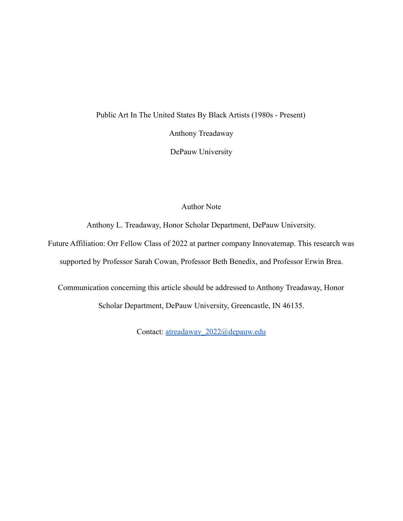# Public Art In The United States By Black Artists (1980s - Present)

Anthony Treadaway

DePauw University

# Author Note

Anthony L. Treadaway, Honor Scholar Department, DePauw University.

Future Affiliation: Orr Fellow Class of 2022 at partner company Innovatemap. This research was supported by Professor Sarah Cowan, Professor Beth Benedix, and Professor Erwin Brea.

Communication concerning this article should be addressed to Anthony Treadaway, Honor Scholar Department, DePauw University, Greencastle, IN 46135.

Contact: [atreadaway\\_2022@depauw.edu](mailto:atreadaway_2022@depauw.edu)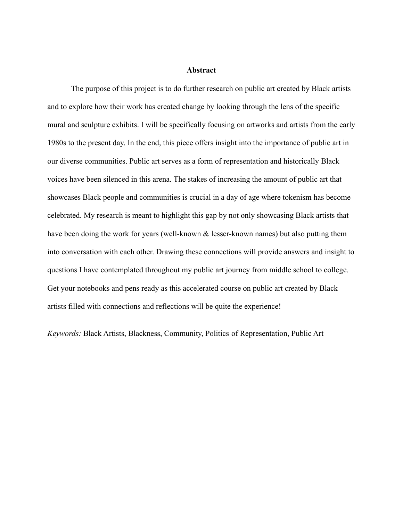#### **Abstract**

The purpose of this project is to do further research on public art created by Black artists and to explore how their work has created change by looking through the lens of the specific mural and sculpture exhibits. I will be specifically focusing on artworks and artists from the early 1980s to the present day. In the end, this piece offers insight into the importance of public art in our diverse communities. Public art serves as a form of representation and historically Black voices have been silenced in this arena. The stakes of increasing the amount of public art that showcases Black people and communities is crucial in a day of age where tokenism has become celebrated. My research is meant to highlight this gap by not only showcasing Black artists that have been doing the work for years (well-known  $\&$  lesser-known names) but also putting them into conversation with each other. Drawing these connections will provide answers and insight to questions I have contemplated throughout my public art journey from middle school to college. Get your notebooks and pens ready as this accelerated course on public art created by Black artists filled with connections and reflections will be quite the experience!

*Keywords:* Black Artists, Blackness, Community, Politics of Representation, Public Art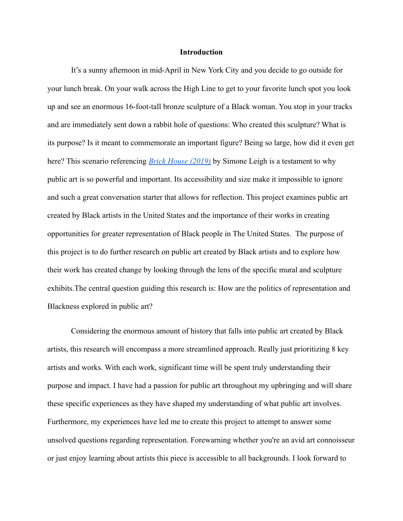### **Introduction**

It's a sunny afternoon in mid-April in New York City and you decide to go outside for your lunch break. On your walk across the High Line to get to your favorite lunch spot you look up and see an enormous 16-foot-tall bronze sculpture of a Black woman. You stop in your tracks and are immediately sent down a rabbit hole of questions: Who created this sculpture? What is its purpose? Is it meant to commemorate an important figure? Being so large, how did it even get here? This scenario referencing *[Brick House \(2019\)](https://untappedcities.com/wp-content/uploads/2019/04/featured-brick-house-simone-leigh-NYC-untapped-cities1-1.jpg)* by Simone Leigh is a testament to why public art is so powerful and important. Its accessibility and size make it impossible to ignore and such a great conversation starter that allows for reflection. This project examines public art created by Black artists in the United States and the importance of their works in creating opportunities for greater representation of Black people in The United States. The purpose of this project is to do further research on public art created by Black artists and to explore how their work has created change by looking through the lens of the specific mural and sculpture exhibits.The central question guiding this research is: How are the politics of representation and Blackness explored in public art?

Considering the enormous amount of history that falls into public art created by Black artists, this research will encompass a more streamlined approach. Really just prioritizing 8 key artists and works. With each work, significant time will be spent truly understanding their purpose and impact. I have had a passion for public art throughout my upbringing and will share these specific experiences as they have shaped my understanding of what public art involves. Furthermore, my experiences have led me to create this project to attempt to answer some unsolved questions regarding representation. Forewarning whether you're an avid art connoisseur or just enjoy learning about artists this piece is accessible to all backgrounds. I look forward to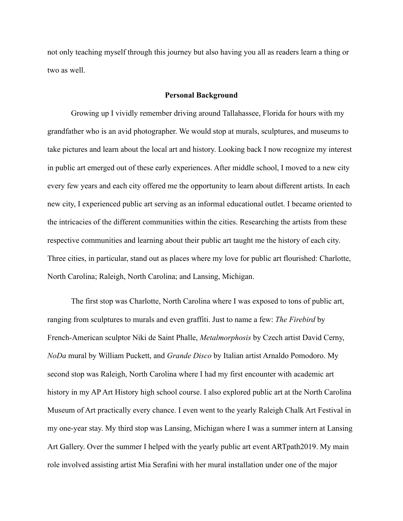not only teaching myself through this journey but also having you all as readers learn a thing or two as well.

#### **Personal Background**

Growing up I vividly remember driving around Tallahassee, Florida for hours with my grandfather who is an avid photographer. We would stop at murals, sculptures, and museums to take pictures and learn about the local art and history. Looking back I now recognize my interest in public art emerged out of these early experiences. After middle school, I moved to a new city every few years and each city offered me the opportunity to learn about different artists. In each new city, I experienced public art serving as an informal educational outlet. I became oriented to the intricacies of the different communities within the cities. Researching the artists from these respective communities and learning about their public art taught me the history of each city. Three cities, in particular, stand out as places where my love for public art flourished: Charlotte, North Carolina; Raleigh, North Carolina; and Lansing, Michigan.

The first stop was Charlotte, North Carolina where I was exposed to tons of public art, ranging from sculptures to murals and even graffiti. Just to name a few: *The Firebird* by French-American sculptor Niki de Saint Phalle, *Metalmorphosis* by Czech artist David Cerny, *NoDa* mural by William Puckett, and *Grande Disco* by Italian artist Arnaldo Pomodoro. My second stop was Raleigh, North Carolina where I had my first encounter with academic art history in my AP Art History high school course. I also explored public art at the North Carolina Museum of Art practically every chance. I even went to the yearly Raleigh Chalk Art Festival in my one-year stay. My third stop was Lansing, Michigan where I was a summer intern at Lansing Art Gallery. Over the summer I helped with the yearly public art event ARTpath2019. My main role involved assisting artist Mia Serafini with her mural installation under one of the major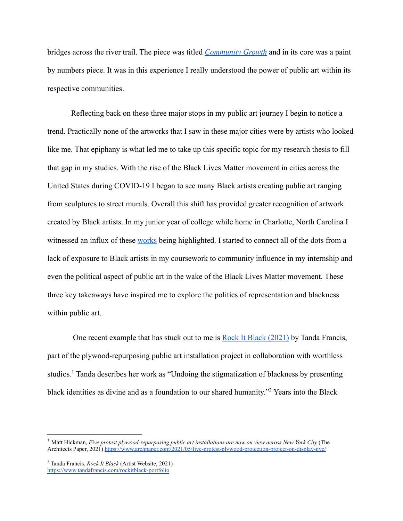bridges across the river trail. The piece was titled *[Community Growth](https://www.miaserafiniart.com/community-growth-mural)* and in its core was a paint by numbers piece. It was in this experience I really understood the power of public art within its respective communities.

Reflecting back on these three major stops in my public art journey I begin to notice a trend. Practically none of the artworks that I saw in these major cities were by artists who looked like me. That epiphany is what led me to take up this specific topic for my research thesis to fill that gap in my studies. With the rise of the Black Lives Matter movement in cities across the United States during COVID-19 I began to see many Black artists creating public art ranging from sculptures to street murals. Overall this shift has provided greater recognition of artwork created by Black artists. In my junior year of college while home in Charlotte, North Carolina I witnessed an influx of these [works](https://qcitymetro.com/2020/06/09/black-lives-matter-mural-covers-uptown-charlotte-street/) being highlighted. I started to connect all of the dots from a lack of exposure to Black artists in my coursework to community influence in my internship and even the political aspect of public art in the wake of the Black Lives Matter movement. These three key takeaways have inspired me to explore the politics of representation and blackness within public art.

One recent example that has stuck out to me is Rock [It Black \(2021\)](https://www.archpaper.com/wp-content/uploads/2021/05/Plywood-Protection-Project-Low-Res-For-Web-22.jpg) by Tanda Francis, part of the plywood-repurposing public art installation project in collaboration with worthless studios.<sup>1</sup> Tanda describes her work as "Undoing the stigmatization of blackness by presenting black identities as divine and as a foundation to our shared humanity."<sup>2</sup> Years into the Black

<sup>1</sup> Matt Hickman, *Five protest plywood-repurposing public art installations are now on view across New York City* (The Architects Paper, 2021) <https://www.archpaper.com/2021/05/five-protest-plywood-protection-project-on-display-nyc/>

<sup>2</sup> Tanda Francis, *Rock It Black* (Artist Website, 2021) <https://www.tandafrancis.com/rockitblack-portfolio>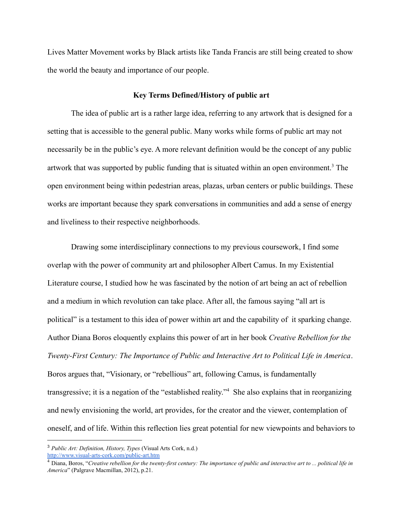Lives Matter Movement works by Black artists like Tanda Francis are still being created to show the world the beauty and importance of our people.

## **Key Terms Defined/History of public art**

The idea of public art is a rather large idea, referring to any artwork that is designed for a setting that is accessible to the general public. Many works while forms of public art may not necessarily be in the public's eye. A more relevant definition would be the concept of any public artwork that was supported by public funding that is situated within an open environment.<sup>3</sup> The open environment being within pedestrian areas, plazas, urban centers or public buildings. These works are important because they spark conversations in communities and add a sense of energy and liveliness to their respective neighborhoods.

Drawing some interdisciplinary connections to my previous coursework, I find some overlap with the power of community art and philosopher Albert Camus. In my Existential Literature course, I studied how he was fascinated by the notion of art being an act of rebellion and a medium in which revolution can take place. After all, the famous saying "all art is political" is a testament to this idea of power within art and the capability of it sparking change. Author Diana Boros eloquently explains this power of art in her book *Creative Rebellion for the Twenty-First Century: The Importance of Public and Interactive Art to Political Life in America*. Boros argues that, "Visionary, or "rebellious" art, following Camus, is fundamentally transgressive; it is a negation of the "established reality."<sup>4</sup> She also explains that in reorganizing and newly envisioning the world, art provides, for the creator and the viewer, contemplation of oneself, and of life. Within this reflection lies great potential for new viewpoints and behaviors to

<sup>3</sup> *Public Art: Definition, History, Types* (Visual Arts Cork, n.d.) <http://www.visual-arts-cork.com/public-art.htm>

<sup>4</sup> Diana, Boros, "*Creative rebellion for the twenty-first century: The importance of public and interactive art to ... political life in America*" (Palgrave Macmillan, 2012), p.21.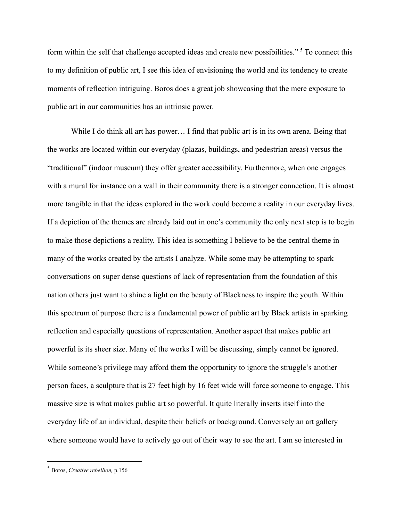form within the self that challenge accepted ideas and create new possibilities." <sup>5</sup> To connect this to my definition of public art, I see this idea of envisioning the world and its tendency to create moments of reflection intriguing. Boros does a great job showcasing that the mere exposure to public art in our communities has an intrinsic power.

While I do think all art has power... I find that public art is in its own arena. Being that the works are located within our everyday (plazas, buildings, and pedestrian areas) versus the "traditional" (indoor museum) they offer greater accessibility. Furthermore, when one engages with a mural for instance on a wall in their community there is a stronger connection. It is almost more tangible in that the ideas explored in the work could become a reality in our everyday lives. If a depiction of the themes are already laid out in one's community the only next step is to begin to make those depictions a reality. This idea is something I believe to be the central theme in many of the works created by the artists I analyze. While some may be attempting to spark conversations on super dense questions of lack of representation from the foundation of this nation others just want to shine a light on the beauty of Blackness to inspire the youth. Within this spectrum of purpose there is a fundamental power of public art by Black artists in sparking reflection and especially questions of representation. Another aspect that makes public art powerful is its sheer size. Many of the works I will be discussing, simply cannot be ignored. While someone's privilege may afford them the opportunity to ignore the struggle's another person faces, a sculpture that is 27 feet high by 16 feet wide will force someone to engage. This massive size is what makes public art so powerful. It quite literally inserts itself into the everyday life of an individual, despite their beliefs or background. Conversely an art gallery where someone would have to actively go out of their way to see the art. I am so interested in

<sup>5</sup> Boros, *Creative rebellion,* p.156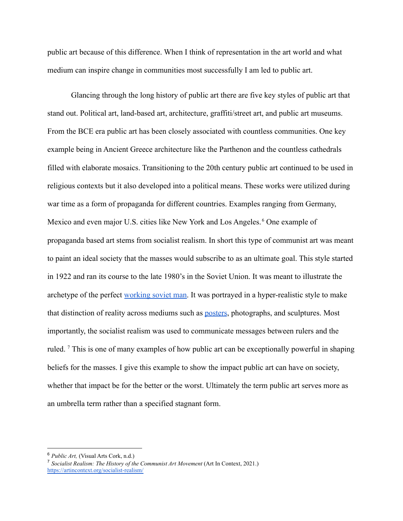public art because of this difference. When I think of representation in the art world and what medium can inspire change in communities most successfully I am led to public art.

Glancing through the long history of public art there are five key styles of public art that stand out. Political art, land-based art, architecture, graffiti/street art, and public art museums. From the BCE era public art has been closely associated with countless communities. One key example being in Ancient Greece architecture like the Parthenon and the countless cathedrals filled with elaborate mosaics. Transitioning to the 20th century public art continued to be used in religious contexts but it also developed into a political means. These works were utilized during war time as a form of propaganda for different countries. Examples ranging from Germany, Mexico and even major U.S. cities like New York and Los Angeles.<sup>6</sup> One example of propaganda based art stems from socialist realism. In short this type of communist art was meant to paint an ideal society that the masses would subscribe to as an ultimate goal. This style started in 1922 and ran its course to the late 1980's in the Soviet Union. It was meant to illustrate the archetype of the perfect [working soviet man.](https://artincontext.org/wp-content/uploads/2021/08/Soviet-Realism.jpg) It was portrayed in a hyper-realistic style to make that distinction of reality across mediums such as [posters](https://artincontext.org/wp-content/uploads/2021/08/Socialist-Realism-Art.jpg), photographs, and sculptures. Most importantly, the socialist realism was used to communicate messages between rulers and the ruled. <sup>7</sup> This is one of many examples of how public art can be exceptionally powerful in shaping beliefs for the masses. I give this example to show the impact public art can have on society, whether that impact be for the better or the worst. Ultimately the term public art serves more as an umbrella term rather than a specified stagnant form.

<sup>6</sup> *Public Art,* (Visual Arts Cork, n.d.)

<sup>7</sup> *Socialist Realism: The History of the Communist Art Movement* (Art In Context, 2021.) <https://artincontext.org/socialist-realism/>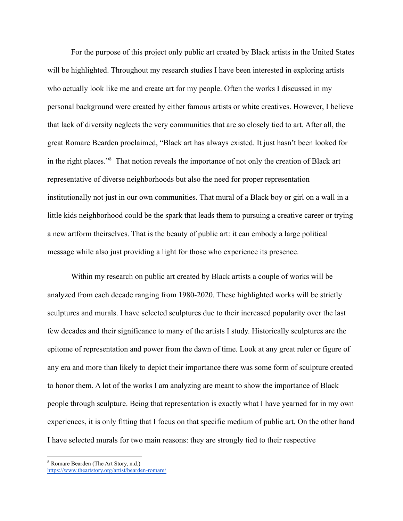For the purpose of this project only public art created by Black artists in the United States will be highlighted. Throughout my research studies I have been interested in exploring artists who actually look like me and create art for my people. Often the works I discussed in my personal background were created by either famous artists or white creatives. However, I believe that lack of diversity neglects the very communities that are so closely tied to art. After all, the great Romare Bearden proclaimed, "Black art has always existed. It just hasn't been looked for in the right places."<sup>8</sup> That notion reveals the importance of not only the creation of Black art representative of diverse neighborhoods but also the need for proper representation institutionally not just in our own communities. That mural of a Black boy or girl on a wall in a little kids neighborhood could be the spark that leads them to pursuing a creative career or trying a new artform theirselves. That is the beauty of public art: it can embody a large political message while also just providing a light for those who experience its presence.

Within my research on public art created by Black artists a couple of works will be analyzed from each decade ranging from 1980-2020. These highlighted works will be strictly sculptures and murals. I have selected sculptures due to their increased popularity over the last few decades and their significance to many of the artists I study. Historically sculptures are the epitome of representation and power from the dawn of time. Look at any great ruler or figure of any era and more than likely to depict their importance there was some form of sculpture created to honor them. A lot of the works I am analyzing are meant to show the importance of Black people through sculpture. Being that representation is exactly what I have yearned for in my own experiences, it is only fitting that I focus on that specific medium of public art. On the other hand I have selected murals for two main reasons: they are strongly tied to their respective

<sup>8</sup> Romare Bearden (The Art Story, n.d.) <https://www.theartstory.org/artist/bearden-romare/>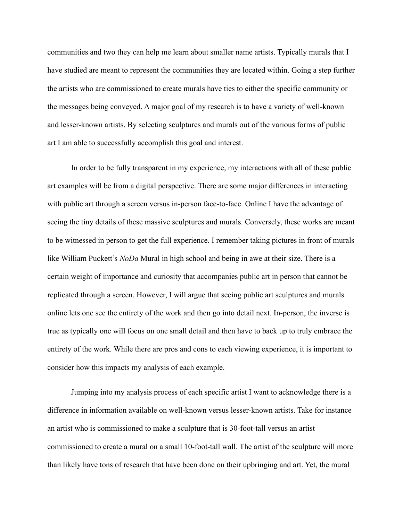communities and two they can help me learn about smaller name artists. Typically murals that I have studied are meant to represent the communities they are located within. Going a step further the artists who are commissioned to create murals have ties to either the specific community or the messages being conveyed. A major goal of my research is to have a variety of well-known and lesser-known artists. By selecting sculptures and murals out of the various forms of public art I am able to successfully accomplish this goal and interest.

In order to be fully transparent in my experience, my interactions with all of these public art examples will be from a digital perspective. There are some major differences in interacting with public art through a screen versus in-person face-to-face. Online I have the advantage of seeing the tiny details of these massive sculptures and murals. Conversely, these works are meant to be witnessed in person to get the full experience. I remember taking pictures in front of murals like William Puckett's *NoDa* Mural in high school and being in awe at their size. There is a certain weight of importance and curiosity that accompanies public art in person that cannot be replicated through a screen. However, I will argue that seeing public art sculptures and murals online lets one see the entirety of the work and then go into detail next. In-person, the inverse is true as typically one will focus on one small detail and then have to back up to truly embrace the entirety of the work. While there are pros and cons to each viewing experience, it is important to consider how this impacts my analysis of each example.

Jumping into my analysis process of each specific artist I want to acknowledge there is a difference in information available on well-known versus lesser-known artists. Take for instance an artist who is commissioned to make a sculpture that is 30-foot-tall versus an artist commissioned to create a mural on a small 10-foot-tall wall. The artist of the sculpture will more than likely have tons of research that have been done on their upbringing and art. Yet, the mural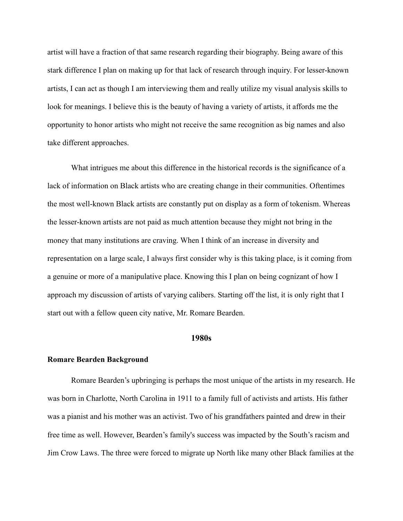artist will have a fraction of that same research regarding their biography. Being aware of this stark difference I plan on making up for that lack of research through inquiry. For lesser-known artists, I can act as though I am interviewing them and really utilize my visual analysis skills to look for meanings. I believe this is the beauty of having a variety of artists, it affords me the opportunity to honor artists who might not receive the same recognition as big names and also take different approaches.

What intrigues me about this difference in the historical records is the significance of a lack of information on Black artists who are creating change in their communities. Oftentimes the most well-known Black artists are constantly put on display as a form of tokenism. Whereas the lesser-known artists are not paid as much attention because they might not bring in the money that many institutions are craving. When I think of an increase in diversity and representation on a large scale, I always first consider why is this taking place, is it coming from a genuine or more of a manipulative place. Knowing this I plan on being cognizant of how I approach my discussion of artists of varying calibers. Starting off the list, it is only right that I start out with a fellow queen city native, Mr. Romare Bearden.

## **1980s**

#### **Romare Bearden Background**

Romare Bearden's upbringing is perhaps the most unique of the artists in my research. He was born in Charlotte, North Carolina in 1911 to a family full of activists and artists. His father was a pianist and his mother was an activist. Two of his grandfathers painted and drew in their free time as well. However, Bearden's family's success was impacted by the South's racism and Jim Crow Laws. The three were forced to migrate up North like many other Black families at the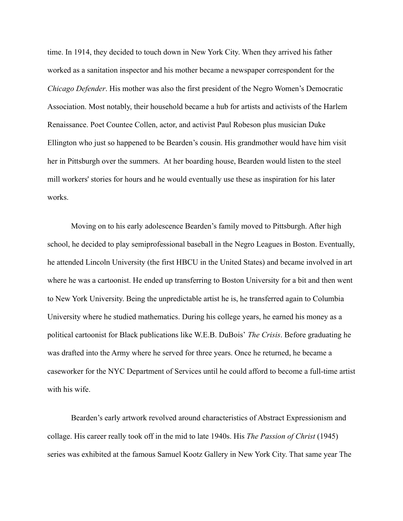time. In 1914, they decided to touch down in New York City. When they arrived his father worked as a sanitation inspector and his mother became a newspaper correspondent for the *Chicago Defender*. His mother was also the first president of the Negro Women's Democratic Association. Most notably, their household became a hub for artists and activists of the Harlem Renaissance. Poet Countee Collen, actor, and activist Paul Robeson plus musician Duke Ellington who just so happened to be Bearden's cousin. His grandmother would have him visit her in Pittsburgh over the summers. At her boarding house, Bearden would listen to the steel mill workers' stories for hours and he would eventually use these as inspiration for his later works.

Moving on to his early adolescence Bearden's family moved to Pittsburgh. After high school, he decided to play semiprofessional baseball in the Negro Leagues in Boston. Eventually, he attended Lincoln University (the first HBCU in the United States) and became involved in art where he was a cartoonist. He ended up transferring to Boston University for a bit and then went to New York University. Being the unpredictable artist he is, he transferred again to Columbia University where he studied mathematics. During his college years, he earned his money as a political cartoonist for Black publications like W.E.B. DuBois' *The Crisis*. Before graduating he was drafted into the Army where he served for three years. Once he returned, he became a caseworker for the NYC Department of Services until he could afford to become a full-time artist with his wife.

Bearden's early artwork revolved around characteristics of Abstract Expressionism and collage. His career really took off in the mid to late 1940s. His *The Passion of Christ* (1945) series was exhibited at the famous Samuel Kootz Gallery in New York City. That same year The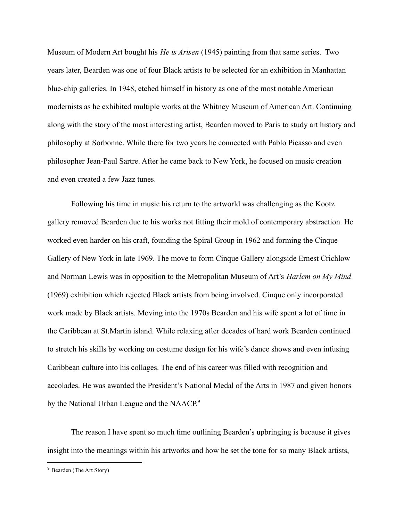Museum of Modern Art bought his *He is Arisen* (1945) painting from that same series. Two years later, Bearden was one of four Black artists to be selected for an exhibition in Manhattan blue-chip galleries. In 1948, etched himself in history as one of the most notable American modernists as he exhibited multiple works at the Whitney Museum of American Art. Continuing along with the story of the most interesting artist, Bearden moved to Paris to study art history and philosophy at Sorbonne. While there for two years he connected with Pablo Picasso and even philosopher Jean-Paul Sartre. After he came back to New York, he focused on music creation and even created a few Jazz tunes.

Following his time in music his return to the artworld was challenging as the Kootz gallery removed Bearden due to his works not fitting their mold of contemporary abstraction. He worked even harder on his craft, founding the Spiral Group in 1962 and forming the Cinque Gallery of New York in late 1969. The move to form Cinque Gallery alongside Ernest Crichlow and Norman Lewis was in opposition to the Metropolitan Museum of Art's *Harlem on My Mind* (1969) exhibition which rejected Black artists from being involved. Cinque only incorporated work made by Black artists. Moving into the 1970s Bearden and his wife spent a lot of time in the Caribbean at St.Martin island. While relaxing after decades of hard work Bearden continued to stretch his skills by working on costume design for his wife's dance shows and even infusing Caribbean culture into his collages. The end of his career was filled with recognition and accolades. He was awarded the President's National Medal of the Arts in 1987 and given honors by the National Urban League and the NAACP.<sup>9</sup>

The reason I have spent so much time outlining Bearden's upbringing is because it gives insight into the meanings within his artworks and how he set the tone for so many Black artists,

<sup>&</sup>lt;sup>9</sup> Bearden (The Art Story)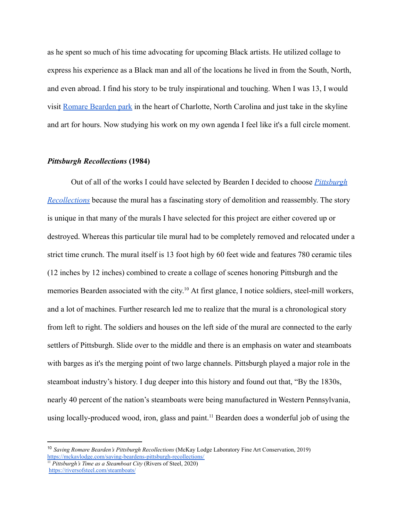as he spent so much of his time advocating for upcoming Black artists. He utilized collage to express his experience as a Black man and all of the locations he lived in from the South, North, and even abroad. I find his story to be truly inspirational and touching. When I was 13, I would visit [Romare Bearden park](https://theclio.com/entry/123186) in the heart of Charlotte, North Carolina and just take in the skyline and art for hours. Now studying his work on my own agenda I feel like it's a full circle moment.

## *Pittsburgh Recollections* **(1984)**

Out of all of the works I could have selected by Bearden I decided to choose *[Pittsburgh](http://3.bp.blogspot.com/-v3SrBy36KLI/ULDwETPGP1I/AAAAAAAAAWU/fKw1U06jnSc/s1600/mural-pittsburgh-subway-t-station-gateway-center-recollections-romare-bearden.jpg) [Recollections](http://3.bp.blogspot.com/-v3SrBy36KLI/ULDwETPGP1I/AAAAAAAAAWU/fKw1U06jnSc/s1600/mural-pittsburgh-subway-t-station-gateway-center-recollections-romare-bearden.jpg)* because the mural has a fascinating story of demolition and reassembly. The story is unique in that many of the murals I have selected for this project are either covered up or destroyed. Whereas this particular tile mural had to be completely removed and relocated under a strict time crunch. The mural itself is 13 foot high by 60 feet wide and features 780 ceramic tiles (12 inches by 12 inches) combined to create a collage of scenes honoring Pittsburgh and the memories Bearden associated with the city.<sup>10</sup> At first glance, I notice soldiers, steel-mill workers, and a lot of machines. Further research led me to realize that the mural is a chronological story from left to right. The soldiers and houses on the left side of the mural are connected to the early settlers of Pittsburgh. Slide over to the middle and there is an emphasis on water and steamboats with barges as it's the merging point of two large channels. Pittsburgh played a major role in the steamboat industry's history. I dug deeper into this history and found out that, "By the 1830s, nearly 40 percent of the nation's steamboats were being manufactured in Western Pennsylvania, using locally-produced wood, iron, glass and paint.<sup>11</sup> Bearden does a wonderful job of using the

<sup>10</sup> *Saving Romare Bearden's Pittsburgh Recollections* (McKay Lodge Laboratory Fine Art Conservation, 2019) <https://mckaylodge.com/saving-beardens-pittsburgh-recollections/>

<sup>11</sup> *Pittsburgh's Time as a Steamboat City* (Rivers of Steel, 2020) <https://riversofsteel.com/steamboats/>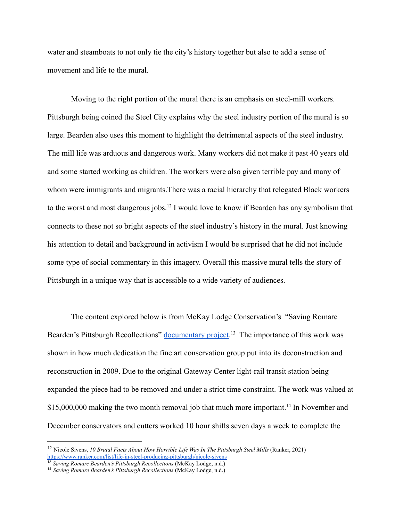water and steamboats to not only tie the city's history together but also to add a sense of movement and life to the mural.

Moving to the right portion of the mural there is an emphasis on steel-mill workers. Pittsburgh being coined the Steel City explains why the steel industry portion of the mural is so large. Bearden also uses this moment to highlight the detrimental aspects of the steel industry. The mill life was arduous and dangerous work. Many workers did not make it past 40 years old and some started working as children. The workers were also given terrible pay and many of whom were immigrants and migrants.There was a racial hierarchy that relegated Black workers to the worst and most dangerous jobs.<sup>12</sup> I would love to know if Bearden has any symbolism that connects to these not so bright aspects of the steel industry's history in the mural. Just knowing his attention to detail and background in activism I would be surprised that he did not include some type of social commentary in this imagery. Overall this massive mural tells the story of Pittsburgh in a unique way that is accessible to a wide variety of audiences.

The content explored below is from McKay Lodge Conservation's "Saving Romare Bearden's Pittsburgh Recollections" [documentary project.](https://youtu.be/-xDmOd986wE)<sup>13</sup> The importance of this work was shown in how much dedication the fine art conservation group put into its deconstruction and reconstruction in 2009. Due to the original Gateway Center light-rail transit station being expanded the piece had to be removed and under a strict time constraint. The work was valued at \$15,000,000 making the two month removal job that much more important.<sup>14</sup> In November and December conservators and cutters worked 10 hour shifts seven days a week to complete the

<sup>12</sup> Nicole Sivens, *10 Brutal Facts About How Horrible Life Was In The Pittsburgh Steel Mills* (Ranker, 2021) <https://www.ranker.com/list/life-in-steel-producing-pittsburgh/nicole-sivens>

<sup>13</sup> *Saving Romare Bearden's Pittsburgh Recollections* (McKay Lodge, n.d.)

<sup>14</sup> *Saving Romare Bearden's Pittsburgh Recollections* (McKay Lodge, n.d.)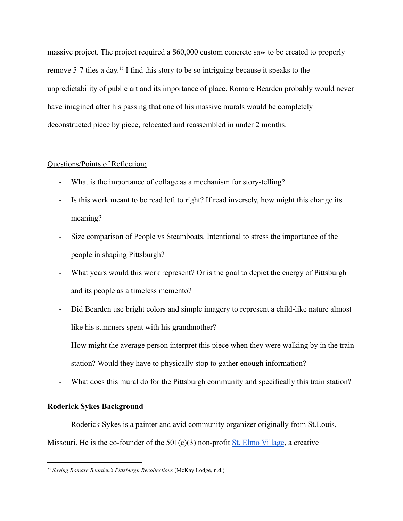massive project. The project required a \$60,000 custom concrete saw to be created to properly remove 5-7 tiles a day.<sup>15</sup> I find this story to be so intriguing because it speaks to the unpredictability of public art and its importance of place. Romare Bearden probably would never have imagined after his passing that one of his massive murals would be completely deconstructed piece by piece, relocated and reassembled in under 2 months.

# Questions/Points of Reflection:

- What is the importance of collage as a mechanism for story-telling?
- Is this work meant to be read left to right? If read inversely, how might this change its meaning?
- Size comparison of People vs Steamboats. Intentional to stress the importance of the people in shaping Pittsburgh?
- What years would this work represent? Or is the goal to depict the energy of Pittsburgh and its people as a timeless memento?
- Did Bearden use bright colors and simple imagery to represent a child-like nature almost like his summers spent with his grandmother?
- How might the average person interpret this piece when they were walking by in the train station? Would they have to physically stop to gather enough information?
- What does this mural do for the Pittsburgh community and specifically this train station?

## **Roderick Sykes Background**

Roderick Sykes is a painter and avid community organizer originally from St.Louis,

Missouri. He is the co-founder of the  $501(c)(3)$  non-profit [St. Elmo Village](https://youtu.be/sWaTYOpw2Ag), a creative

*<sup>15</sup> Saving Romare Bearden's Pittsburgh Recollections* (McKay Lodge, n.d.)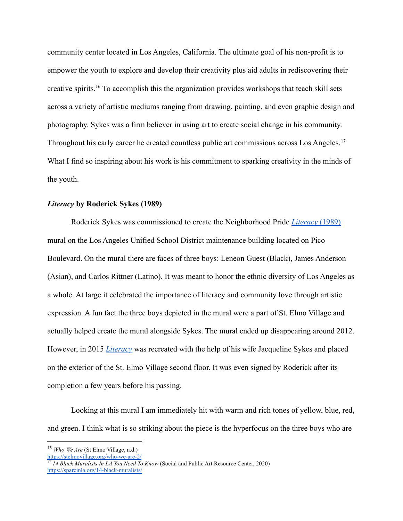community center located in Los Angeles, California. The ultimate goal of his non-profit is to empower the youth to explore and develop their creativity plus aid adults in rediscovering their creative spirits.<sup>16</sup> To accomplish this the organization provides workshops that teach skill sets across a variety of artistic mediums ranging from drawing, painting, and even graphic design and photography. Sykes was a firm believer in using art to create social change in his community. Throughout his early career he created countless public art commissions across Los Angeles.<sup>17</sup> What I find so inspiring about his work is his commitment to sparking creativity in the minds of the youth.

## *Literacy* **by Roderick Sykes (1989)**

Roderick Sykes was commissioned to create the Neighborhood Pride *[Literacy](https://sparcinla.org/wp-content/uploads/2013/06/003_literacy.jpg)* (1989) mural on the Los Angeles Unified School District maintenance building located on Pico Boulevard. On the mural there are faces of three boys: Leneon Guest (Black), James Anderson (Asian), and Carlos Rittner (Latino). It was meant to honor the ethnic diversity of Los Angeles as a whole. At large it celebrated the importance of literacy and community love through artistic expression. A fun fact the three boys depicted in the mural were a part of St. Elmo Village and actually helped create the mural alongside Sykes. The mural ended up disappearing around 2012. However, in 2015 *[Literacy](https://sparcinla.org/wp-content/uploads/2020/07/6-After-Roderick-Sykes-2-1536x1152.jpg)* was recreated with the help of his wife Jacqueline Sykes and placed on the exterior of the St. Elmo Village second floor. It was even signed by Roderick after its completion a few years before his passing.

Looking at this mural I am immediately hit with warm and rich tones of yellow, blue, red, and green. I think what is so striking about the piece is the hyperfocus on the three boys who are

<https://stelmovillage.org/who-we-are-2/>

<sup>16</sup> *Who We Are* (St Elmo Village, n.d.)

<sup>&</sup>lt;sup>17</sup> 14 Black Muralists In LA You Need To Know (Social and Public Art Resource Center, 2020) <https://sparcinla.org/14-black-muralists/>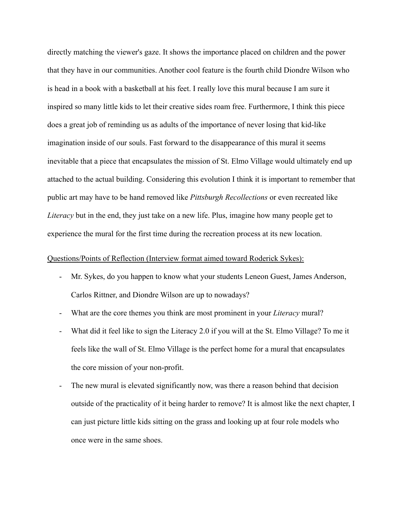directly matching the viewer's gaze. It shows the importance placed on children and the power that they have in our communities. Another cool feature is the fourth child Diondre Wilson who is head in a book with a basketball at his feet. I really love this mural because I am sure it inspired so many little kids to let their creative sides roam free. Furthermore, I think this piece does a great job of reminding us as adults of the importance of never losing that kid-like imagination inside of our souls. Fast forward to the disappearance of this mural it seems inevitable that a piece that encapsulates the mission of St. Elmo Village would ultimately end up attached to the actual building. Considering this evolution I think it is important to remember that public art may have to be hand removed like *Pittsburgh Recollections* or even recreated like *Literacy* but in the end, they just take on a new life. Plus, imagine how many people get to experience the mural for the first time during the recreation process at its new location.

## Questions/Points of Reflection (Interview format aimed toward Roderick Sykes):

- Mr. Sykes, do you happen to know what your students Leneon Guest, James Anderson, Carlos Rittner, and Diondre Wilson are up to nowadays?
- What are the core themes you think are most prominent in your *Literacy* mural?
- What did it feel like to sign the Literacy 2.0 if you will at the St. Elmo Village? To me it feels like the wall of St. Elmo Village is the perfect home for a mural that encapsulates the core mission of your non-profit.
- The new mural is elevated significantly now, was there a reason behind that decision outside of the practicality of it being harder to remove? It is almost like the next chapter, I can just picture little kids sitting on the grass and looking up at four role models who once were in the same shoes.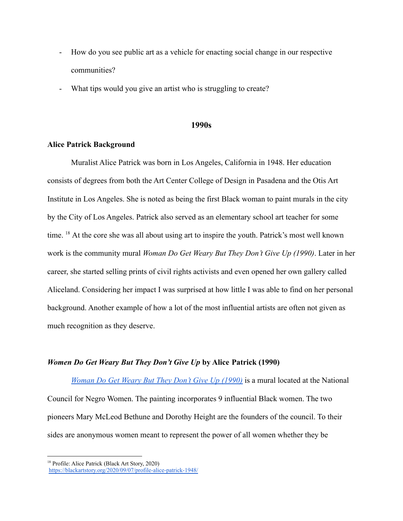- How do you see public art as a vehicle for enacting social change in our respective communities?
- What tips would you give an artist who is struggling to create?

#### **1990s**

## **Alice Patrick Background**

Muralist Alice Patrick was born in Los Angeles, California in 1948. Her education consists of degrees from both the Art Center College of Design in Pasadena and the Otis Art Institute in Los Angeles. She is noted as being the first Black woman to paint murals in the city by the City of Los Angeles. Patrick also served as an elementary school art teacher for some time. <sup>18</sup> At the core she was all about using art to inspire the youth. Patrick's most well known work is the community mural *Woman Do Get Weary But They Don't Give Up (1990)*. Later in her career, she started selling prints of civil rights activists and even opened her own gallery called Aliceland. Considering her impact I was surprised at how little I was able to find on her personal background. Another example of how a lot of the most influential artists are often not given as much recognition as they deserve.

## *Women Do Get Weary But They Don't Give Up* **by Alice Patrick (1990)**

*[Woman Do Get Weary But They Don't Give Up \(1990\)](https://sparcinla.org/wp-content/uploads/2020/07/DSC0320-1-1536x1017.jpg)* is a mural located at the National Council for Negro Women. The painting incorporates 9 influential Black women. The two pioneers Mary McLeod Bethune and Dorothy Height are the founders of the council. To their sides are anonymous women meant to represent the power of all women whether they be

<sup>18</sup> Profile: Alice Patrick (Black Art Story, 2020) <https://blackartstory.org/2020/09/07/profile-alice-patrick-1948/>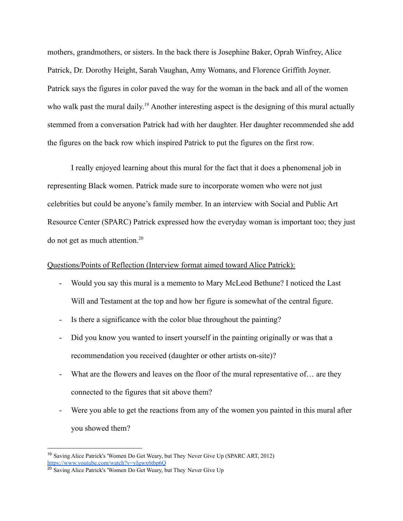mothers, grandmothers, or sisters. In the back there is Josephine Baker, Oprah Winfrey, Alice Patrick, Dr. Dorothy Height, Sarah Vaughan, Amy Womans, and Florence Griffith Joyner. Patrick says the figures in color paved the way for the woman in the back and all of the women who walk past the mural daily.<sup>19</sup> Another interesting aspect is the designing of this mural actually stemmed from a conversation Patrick had with her daughter. Her daughter recommended she add the figures on the back row which inspired Patrick to put the figures on the first row.

I really enjoyed learning about this mural for the fact that it does a phenomenal job in representing Black women. Patrick made sure to incorporate women who were not just celebrities but could be anyone's family member. In an interview with Social and Public Art Resource Center (SPARC) Patrick expressed how the everyday woman is important too; they just do not get as much attention.<sup>20</sup>

## Questions/Points of Reflection (Interview format aimed toward Alice Patrick):

- Would you say this mural is a memento to Mary McLeod Bethune? I noticed the Last Will and Testament at the top and how her figure is somewhat of the central figure.
- Is there a significance with the color blue throughout the painting?
- Did you know you wanted to insert yourself in the painting originally or was that a recommendation you received (daughter or other artists on-site)?
- What are the flowers and leaves on the floor of the mural representative of... are they connected to the figures that sit above them?
- Were you able to get the reactions from any of the women you painted in this mural after you showed them?

<sup>&</sup>lt;sup>19</sup> Saving Alice Patrick's 'Women Do Get Weary, but They Never Give Up (SPARC ART, 2012) <https://www.youtube.com/watch?v=yIgwx6tbp6Q>

<sup>&</sup>lt;sup>20</sup> Saving Alice Patrick's 'Women Do Get Weary, but They Never Give Up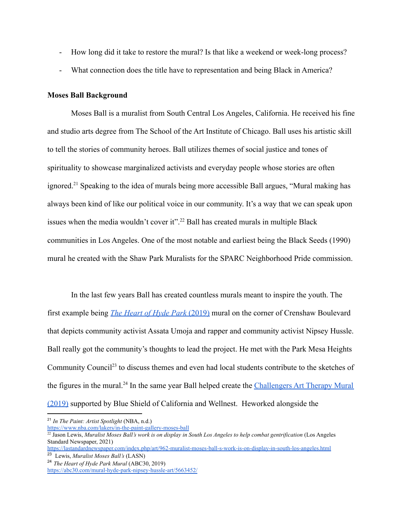- How long did it take to restore the mural? Is that like a weekend or week-long process?
- What connection does the title have to representation and being Black in America?

## **Moses Ball Background**

Moses Ball is a muralist from South Central Los Angeles, California. He received his fine and studio arts degree from The School of the Art Institute of Chicago. Ball uses his artistic skill to tell the stories of community heroes. Ball utilizes themes of social justice and tones of spirituality to showcase marginalized activists and everyday people whose stories are often ignored.<sup>21</sup> Speaking to the idea of murals being more accessible Ball argues, "Mural making has always been kind of like our political voice in our community. It's a way that we can speak upon issues when the media wouldn't cover it".<sup>22</sup> Ball has created murals in multiple Black communities in Los Angeles. One of the most notable and earliest being the Black Seeds (1990) mural he created with the Shaw Park Muralists for the SPARC Neighborhood Pride commission.

In the last few years Ball has created countless murals meant to inspire the youth. The first example being *[The Heart of Hyde Park](https://www.codaworx.com/projects/the-heart-of-hyde-park/)* (2019) mural on the corner of Crenshaw Boulevard that depicts community activist Assata Umoja and rapper and community activist Nipsey Hussle. Ball really got the community's thoughts to lead the project. He met with the Park Mesa Heights Community Council<sup>23</sup> to discuss themes and even had local students contribute to the sketches of the figures in the mural.<sup>24</sup> In the same year Ball helped create the *[Challengers Art Therapy Mural](https://s3.amazonaws.com/cms.ipressroom.com/347/files/20197/5d544e312cfac255df435e68_Mural134/Mural134_89a4cb41-a64e-4b6a-be55-d975caab2245-prv.jpg)* [\(2019\)](https://s3.amazonaws.com/cms.ipressroom.com/347/files/20197/5d544e312cfac255df435e68_Mural134/Mural134_89a4cb41-a64e-4b6a-be55-d975caab2245-prv.jpg) supported by Blue Shield of California and Wellnest. Heworked alongside the

<sup>21</sup> *In The Paint: Artist Spotlight* (NBA, n.d.)

<https://www.nba.com/lakers/in-the-paint-gallery-moses-ball>

<sup>22</sup> Jason Lewis, *Muralist Moses Ball's work is on display in South Los Angeles to help combat gentrification* (Los Angeles Standard Newspaper, 2021)

<sup>23</sup> Lewis, *Muralist Moses Ball's* (LASN) <https://lastandardnewspaper.com/index.php/art/962-muralist-moses-ball-s-work-is-on-display-in-south-los-angeles.html>

<sup>24</sup> *The Heart of Hyde Park Mural* (ABC30, 2019) <https://abc30.com/mural-hyde-park-nipsey-hussle-art/5663452/>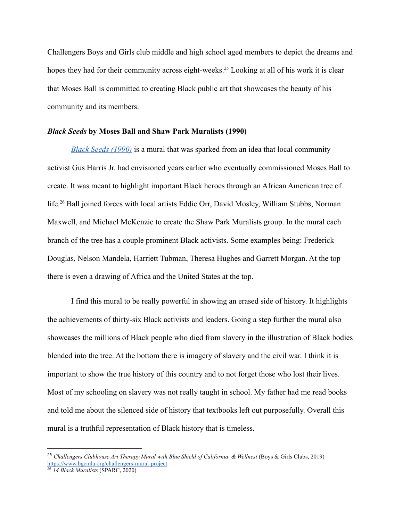Challengers Boys and Girls club middle and high school aged members to depict the dreams and hopes they had for their community across eight-weeks.<sup>25</sup> Looking at all of his work it is clear that Moses Ball is committed to creating Black public art that showcases the beauty of his community and its members.

#### *Black Seeds* **by Moses Ball and Shaw Park Muralists (1990)**

*[Black Seeds \(1990\)](https://sparcinla.org/wp-content/uploads/2020/07/71_AA_Black_Seeds_detail_Shaw_Park_Muralists_1990-91.jpg)* is a mural that was sparked from an idea that local community activist Gus Harris Jr. had envisioned years earlier who eventually commissioned Moses Ball to create. It was meant to highlight important Black heroes through an African American tree of life.<sup>26</sup> Ball joined forces with local artists Eddie Orr, David Mosley, William Stubbs, Norman Maxwell, and Michael McKenzie to create the Shaw Park Muralists group. In the mural each branch of the tree has a couple prominent Black activists. Some examples being: Frederick Douglas, Nelson Mandela, Harriett Tubman, Theresa Hughes and Garrett Morgan. At the top there is even a drawing of Africa and the United States at the top.

I find this mural to be really powerful in showing an erased side of history. It highlights the achievements of thirty-six Black activists and leaders. Going a step further the mural also showcases the millions of Black people who died from slavery in the illustration of Black bodies blended into the tree. At the bottom there is imagery of slavery and the civil war. I think it is important to show the true history of this country and to not forget those who lost their lives. Most of my schooling on slavery was not really taught in school. My father had me read books and told me about the silenced side of history that textbooks left out purposefully. Overall this mural is a truthful representation of Black history that is timeless.

<sup>&</sup>lt;sup>25</sup> Challengers Clubhouse Art Therapy Mural with Blue Shield of California & Wellnest (Boys & Girls Clubs, 2019) <https://www.bgcmla.org/challengers-mural-project>

<sup>26</sup> *14 Black Muralists* (SPARC, 2020)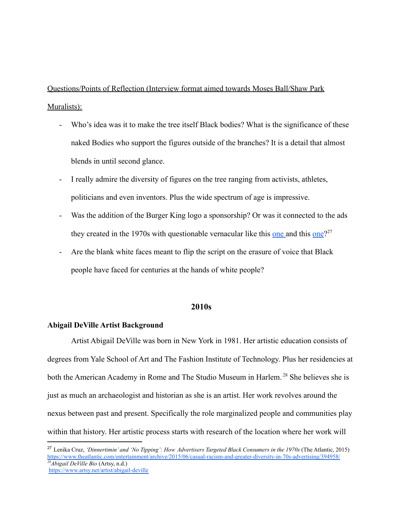Questions/Points of Reflection (Interview format aimed towards Moses Ball/Shaw Park Muralists):

- Who's idea was it to make the tree itself Black bodies? What is the significance of these naked Bodies who support the figures outside of the branches? It is a detail that almost blends in until second glance.
- I really admire the diversity of figures on the tree ranging from activists, athletes, politicians and even inventors. Plus the wide spectrum of age is impressive.
- Was the addition of the Burger King logo a sponsorship? Or was it connected to the ads they created in the 1970s with questionable vernacular like this [one](https://creative-ads.org/wp-content/uploads/2013/04/america-loves-burgers-vintage-ad.jpg) and this one?<sup>27</sup>
- Are the blank white faces meant to flip the script on the erasure of voice that Black people have faced for centuries at the hands of white people?

## **2010s**

## **Abigail DeVille Artist Background**

Artist Abigail DeVille was born in New York in 1981. Her artistic education consists of degrees from Yale School of Art and The Fashion Institute of Technology. Plus her residencies at both the American Academy in Rome and The Studio Museum in Harlem.<sup>28</sup> She believes she is just as much an archaeologist and historian as she is an artist. Her work revolves around the nexus between past and present. Specifically the role marginalized people and communities play within that history. Her artistic process starts with research of the location where her work will

*<sup>28</sup>Abigail DeVille Bio* (Artsy, n.d.) <https://www.artsy.net/artist/abigail-deville> <sup>27</sup> Lenika Cruz, *'Dinnertimin' and 'No Tipping': How Advertisers Targeted Black Consumers in the 1970s* (The Atlantic, 2015) <https://www.theatlantic.com/entertainment/archive/2015/06/casual-racism-and-greater-diversity-in-70s-advertising/394958/>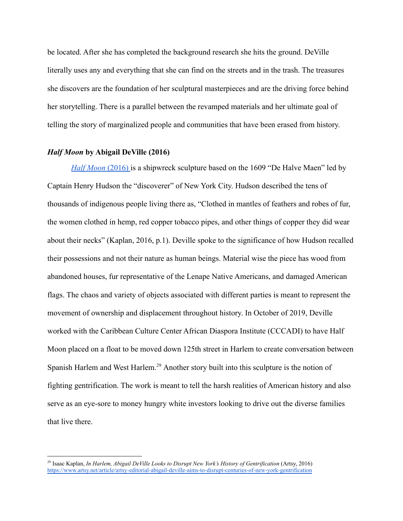be located. After she has completed the background research she hits the ground. DeVille literally uses any and everything that she can find on the streets and in the trash. The treasures she discovers are the foundation of her sculptural masterpieces and are the driving force behind her storytelling. There is a parallel between the revamped materials and her ultimate goal of telling the story of marginalized people and communities that have been erased from history.

## *Half Moon* **by Abigail DeVille (2016)**

*[Half Moon](https://artsy-media-uploads.s3.amazonaws.com/YveEA9yOoZhLaHBxSpq0Xg%2FDeville+by+Nate+Dorr+20160981.jpg)* (2016) is a shipwreck sculpture based on the 1609 "De Halve Maen" led by Captain Henry Hudson the "discoverer" of New York City. Hudson described the tens of thousands of indigenous people living there as, "Clothed in mantles of feathers and robes of fur, the women clothed in hemp, red copper tobacco pipes, and other things of copper they did wear about their necks" (Kaplan, 2016, p.1). Deville spoke to the significance of how Hudson recalled their possessions and not their nature as human beings. Material wise the piece has wood from abandoned houses, fur representative of the Lenape Native Americans, and damaged American flags. The chaos and variety of objects associated with different parties is meant to represent the movement of ownership and displacement throughout history. In October of 2019, Deville worked with the Caribbean Culture Center African Diaspora Institute (CCCADI) to have Half Moon placed on a float to be moved down 125th street in Harlem to create conversation between Spanish Harlem and West Harlem.<sup>29</sup> Another story built into this sculpture is the notion of fighting gentrification. The work is meant to tell the harsh realities of American history and also serve as an eye-sore to money hungry white investors looking to drive out the diverse families that live there.

<sup>29</sup> Isaac Kaplan, *In Harlem, Abigail DeVille Looks to Disrupt New York's History of Gentrification* (Artsy, 2016) <https://www.artsy.net/article/artsy-editorial-abigail-deville-aims-to-disrupt-centuries-of-new-york-gentrification>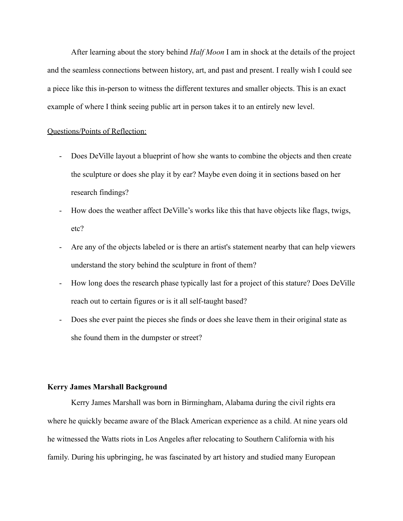After learning about the story behind *Half Moon* I am in shock at the details of the project and the seamless connections between history, art, and past and present. I really wish I could see a piece like this in-person to witness the different textures and smaller objects. This is an exact example of where I think seeing public art in person takes it to an entirely new level.

## Questions/Points of Reflection:

- Does DeVille layout a blueprint of how she wants to combine the objects and then create the sculpture or does she play it by ear? Maybe even doing it in sections based on her research findings?
- How does the weather affect DeVille's works like this that have objects like flags, twigs, etc?
- Are any of the objects labeled or is there an artist's statement nearby that can help viewers understand the story behind the sculpture in front of them?
- How long does the research phase typically last for a project of this stature? Does DeVille reach out to certain figures or is it all self-taught based?
- Does she ever paint the pieces she finds or does she leave them in their original state as she found them in the dumpster or street?

## **Kerry James Marshall Background**

Kerry James Marshall was born in Birmingham, Alabama during the civil rights era where he quickly became aware of the Black American experience as a child. At nine years old he witnessed the Watts riots in Los Angeles after relocating to Southern California with his family. During his upbringing, he was fascinated by art history and studied many European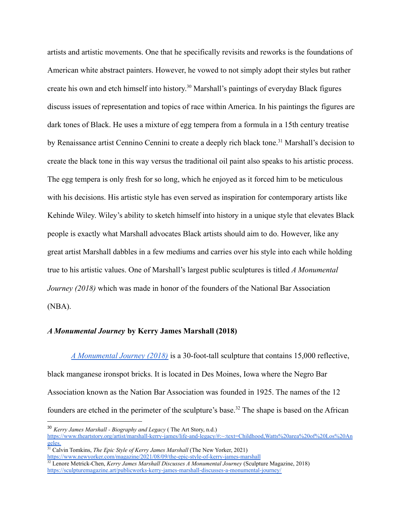artists and artistic movements. One that he specifically revisits and reworks is the foundations of American white abstract painters. However, he vowed to not simply adopt their styles but rather create his own and etch himself into history. <sup>30</sup> Marshall's paintings of everyday Black figures discuss issues of representation and topics of race within America. In his paintings the figures are dark tones of Black. He uses a mixture of egg tempera from a formula in a 15th century treatise by Renaissance artist Cennino Cennini to create a deeply rich black tone.<sup>31</sup> Marshall's decision to create the black tone in this way versus the traditional oil paint also speaks to his artistic process. The egg tempera is only fresh for so long, which he enjoyed as it forced him to be meticulous with his decisions. His artistic style has even served as inspiration for contemporary artists like Kehinde Wiley. Wiley's ability to sketch himself into history in a unique style that elevates Black people is exactly what Marshall advocates Black artists should aim to do. However, like any great artist Marshall dabbles in a few mediums and carries over his style into each while holding true to his artistic values. One of Marshall's largest public sculptures is titled *A Monumental Journey (2018)* which was made in honor of the founders of the National Bar Association (NBA).

# *A Monumental Journey* **by Kerry James Marshall (2018)**

*[A Monumental Journey \(2018\)](https://sculpturemagazine.art/wp-content/uploads/2019/03/pub-01-1.jpg)* is a 30-foot-tall sculpture that contains 15,000 reflective, black manganese ironspot bricks. It is located in Des Moines, Iowa where the Negro Bar Association known as the Nation Bar Association was founded in 1925. The names of the 12 founders are etched in the perimeter of the sculpture's base.<sup>32</sup> The shape is based on the African

<sup>30</sup> *Kerry James Marshall - Biography and Legacy* ( The Art Story, n.d.) [https://www.theartstory.org/artist/marshall-kerry-james/life-and-legacy/#:~:text=Childhood,Watts%20area%20of%20Los%20An](https://www.theartstory.org/artist/marshall-kerry-james/life-and-legacy/#:~:text=Childhood,Watts%20area%20of%20Los%20Angeles.) [geles.](https://www.theartstory.org/artist/marshall-kerry-james/life-and-legacy/#:~:text=Childhood,Watts%20area%20of%20Los%20Angeles.)

<sup>31</sup> Calvin Tomkins, *The Epic Style of Kerry James Marshall* (The New Yorker, 2021) <https://www.newyorker.com/magazine/2021/08/09/the-epic-style-of-kerry-james-marshall>

<sup>32</sup> Lenore Metrick-Chen, *Kerry James Marshall Discusses A Monumental Journey* (Sculpture Magazine, 2018) <https://sculpturemagazine.art/publicworks-kerry-james-marshall-discusses-a-monumental-journey/>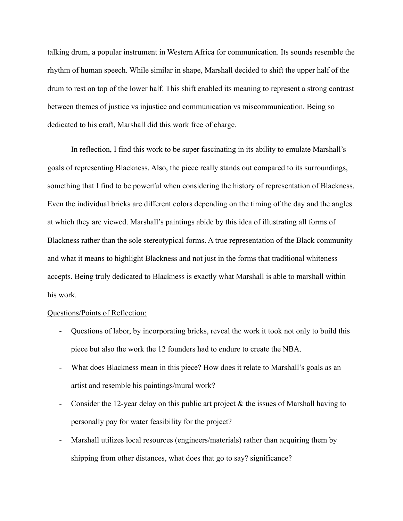talking drum, a popular instrument in Western Africa for communication. Its sounds resemble the rhythm of human speech. While similar in shape, Marshall decided to shift the upper half of the drum to rest on top of the lower half. This shift enabled its meaning to represent a strong contrast between themes of justice vs injustice and communication vs miscommunication. Being so dedicated to his craft, Marshall did this work free of charge.

In reflection, I find this work to be super fascinating in its ability to emulate Marshall's goals of representing Blackness. Also, the piece really stands out compared to its surroundings, something that I find to be powerful when considering the history of representation of Blackness. Even the individual bricks are different colors depending on the timing of the day and the angles at which they are viewed. Marshall's paintings abide by this idea of illustrating all forms of Blackness rather than the sole stereotypical forms. A true representation of the Black community and what it means to highlight Blackness and not just in the forms that traditional whiteness accepts. Being truly dedicated to Blackness is exactly what Marshall is able to marshall within his work.

## Questions/Points of Reflection:

- Questions of labor, by incorporating bricks, reveal the work it took not only to build this piece but also the work the 12 founders had to endure to create the NBA.
- What does Blackness mean in this piece? How does it relate to Marshall's goals as an artist and resemble his paintings/mural work?
- Consider the 12-year delay on this public art project  $\&$  the issues of Marshall having to personally pay for water feasibility for the project?
- Marshall utilizes local resources (engineers/materials) rather than acquiring them by shipping from other distances, what does that go to say? significance?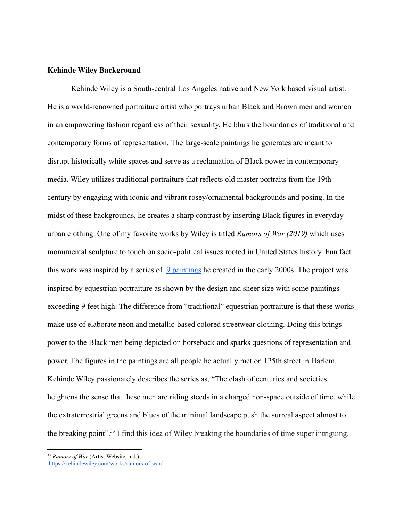### **Kehinde Wiley Background**

Kehinde Wiley is a South-central Los Angeles native and New York based visual artist. He is a world-renowned portraiture artist who portrays urban Black and Brown men and women in an empowering fashion regardless of their sexuality. He blurs the boundaries of traditional and contemporary forms of representation. The large-scale paintings he generates are meant to disrupt historically white spaces and serve as a reclamation of Black power in contemporary media. Wiley utilizes traditional portraiture that reflects old master portraits from the 19th century by engaging with iconic and vibrant rosey/ornamental backgrounds and posing. In the midst of these backgrounds, he creates a sharp contrast by inserting Black figures in everyday urban clothing. One of my favorite works by Wiley is titled *Rumors of War (2019)* which uses monumental sculpture to touch on socio-political issues rooted in United States history. Fun fact this work was inspired by a series of  $9$  paintings he created in the early 2000s. The project was inspired by equestrian portraiture as shown by the design and sheer size with some paintings exceeding 9 feet high. The difference from "traditional" equestrian portraiture is that these works make use of elaborate neon and metallic-based colored streetwear clothing. Doing this brings power to the Black men being depicted on horseback and sparks questions of representation and power. The figures in the paintings are all people he actually met on 125th street in Harlem. Kehinde Wiley passionately describes the series as, "The clash of centuries and societies heightens the sense that these men are riding steeds in a charged non-space outside of time, while the extraterrestrial greens and blues of the minimal landscape push the surreal aspect almost to the breaking point".<sup>33</sup> I find this idea of Wiley breaking the boundaries of time super intriguing.

<sup>33</sup> *Rumors of War* (Artist Website, n.d.)

<https://kehindewiley.com/works/rumors-of-war/>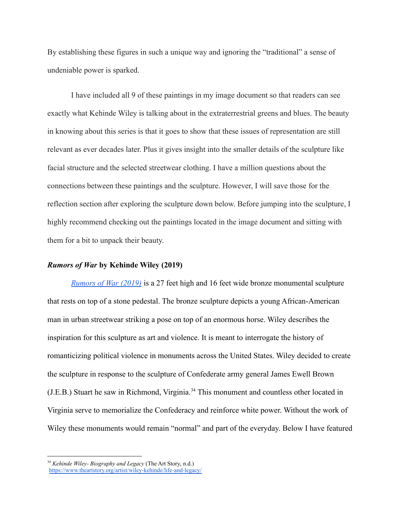By establishing these figures in such a unique way and ignoring the "traditional" a sense of undeniable power is sparked.

I have included all 9 of these paintings in my image document so that readers can see exactly what Kehinde Wiley is talking about in the extraterrestrial greens and blues. The beauty in knowing about this series is that it goes to show that these issues of representation are still relevant as ever decades later. Plus it gives insight into the smaller details of the sculpture like facial structure and the selected streetwear clothing. I have a million questions about the connections between these paintings and the sculpture. However, I will save those for the reflection section after exploring the sculpture down below. Before jumping into the sculpture, I highly recommend checking out the paintings located in the image document and sitting with them for a bit to unpack their beauty.

# *Rumors of War* **by Kehinde Wiley (2019)**

*[Rumors of War \(2019\)](http://arts.timessquarenyc.org/image.aspx?id=8979&width=1200&height=500)* is a 27 feet high and 16 feet wide bronze monumental sculpture that rests on top of a stone pedestal. The bronze sculpture depicts a young African-American man in urban streetwear striking a pose on top of an enormous horse. Wiley describes the inspiration for this sculpture as art and violence. It is meant to interrogate the history of romanticizing political violence in monuments across the United States. Wiley decided to create the sculpture in response to the sculpture of Confederate army general James Ewell Brown (J.E.B.) Stuart he saw in Richmond, Virginia.<sup>34</sup> This monument and countless other located in Virginia serve to memorialize the Confederacy and reinforce white power. Without the work of Wiley these monuments would remain "normal" and part of the everyday. Below I have featured

<sup>34</sup> *Kehinde Wiley- Biography and Legacy* (The Art Story, n.d.) <https://www.theartstory.org/artist/wiley-kehinde/life-and-legacy/>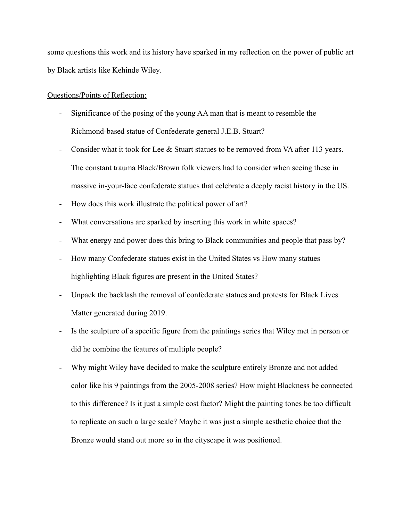some questions this work and its history have sparked in my reflection on the power of public art by Black artists like Kehinde Wiley.

## Questions/Points of Reflection:

- Significance of the posing of the young AA man that is meant to resemble the Richmond-based statue of Confederate general J.E.B. Stuart?
- Consider what it took for Lee & Stuart statues to be removed from VA after 113 years. The constant trauma Black/Brown folk viewers had to consider when seeing these in massive in-your-face confederate statues that celebrate a deeply racist history in the US.
- How does this work illustrate the political power of art?
- What conversations are sparked by inserting this work in white spaces?
- What energy and power does this bring to Black communities and people that pass by?
- How many Confederate statues exist in the United States vs How many statues highlighting Black figures are present in the United States?
- Unpack the backlash the removal of confederate statues and protests for Black Lives Matter generated during 2019.
- Is the sculpture of a specific figure from the paintings series that Wiley met in person or did he combine the features of multiple people?
- Why might Wiley have decided to make the sculpture entirely Bronze and not added color like his 9 paintings from the 2005-2008 series? How might Blackness be connected to this difference? Is it just a simple cost factor? Might the painting tones be too difficult to replicate on such a large scale? Maybe it was just a simple aesthetic choice that the Bronze would stand out more so in the cityscape it was positioned.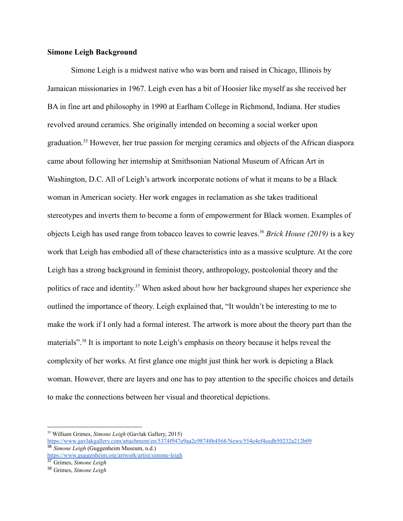## **Simone Leigh Background**

Simone Leigh is a midwest native who was born and raised in Chicago, Illinois by Jamaican missionaries in 1967. Leigh even has a bit of Hoosier like myself as she received her BA in fine art and philosophy in 1990 at Earlham College in Richmond, Indiana. Her studies revolved around ceramics. She originally intended on becoming a social worker upon graduation.<sup>35</sup> However, her true passion for merging ceramics and objects of the African diaspora came about following her internship at Smithsonian National Museum of African Art in Washington, D.C. All of Leigh's artwork incorporate notions of what it means to be a Black woman in American society. Her work engages in reclamation as she takes traditional stereotypes and inverts them to become a form of empowerment for Black women. Examples of objects Leigh has used range from tobacco leaves to cowrie leaves.<sup>36</sup> *Brick House (2019)* is a key work that Leigh has embodied all of these characteristics into as a massive sculpture. At the core Leigh has a strong background in feminist theory, anthropology, postcolonial theory and the politics of race and identity.<sup>37</sup> When asked about how her background shapes her experience she outlined the importance of theory. Leigh explained that, "It wouldn't be interesting to me to make the work if I only had a formal interest. The artwork is more about the theory part than the materials"<sup>38</sup> It is important to note Leigh's emphasis on theory because it helps reveal the complexity of her works. At first glance one might just think her work is depicting a Black woman. However, there are layers and one has to pay attention to the specific choices and details to make the connections between her visual and theoretical depictions.

<sup>36</sup> *Simone Leigh* (Guggenheim Museum, n.d.) <sup>35</sup> William Grimes, *Simone Leigh* (Gavlak Gallery, 2015) <https://www.gavlakgallery.com/attachment/en/5374f947a9aa2c98748b4568/News/554e4ef4eedb50232a212b09>

<https://www.guggenheim.org/artwork/artist/simone-leigh>

<sup>37</sup> Grimes, *Simone Leigh*

<sup>38</sup> Grimes, *Simone Leigh*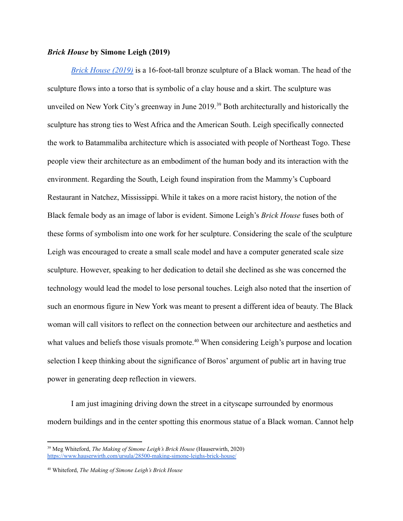## *Brick House* **by Simone Leigh (2019)**

*[Brick House \(2019\)](https://untappedcities.com/wp-content/uploads/2019/04/featured-brick-house-simone-leigh-NYC-untapped-cities1-1.jpg)* is a 16-foot-tall bronze sculpture of a Black woman. The head of the sculpture flows into a torso that is symbolic of a clay house and a skirt. The sculpture was unveiled on New York City's greenway in June 2019.<sup>39</sup> Both architecturally and historically the sculpture has strong ties to West Africa and the American South. Leigh specifically connected the work to Batammaliba architecture which is associated with people of Northeast Togo. These people view their architecture as an embodiment of the human body and its interaction with the environment. Regarding the South, Leigh found inspiration from the Mammy's Cupboard Restaurant in Natchez, Mississippi. While it takes on a more racist history, the notion of the Black female body as an image of labor is evident. Simone Leigh's *Brick House* fuses both of these forms of symbolism into one work for her sculpture. Considering the scale of the sculpture Leigh was encouraged to create a small scale model and have a computer generated scale size sculpture. However, speaking to her dedication to detail she declined as she was concerned the technology would lead the model to lose personal touches. Leigh also noted that the insertion of such an enormous figure in New York was meant to present a different idea of beauty. The Black woman will call visitors to reflect on the connection between our architecture and aesthetics and what values and beliefs those visuals promote.<sup>40</sup> When considering Leigh's purpose and location selection I keep thinking about the significance of Boros' argument of public art in having true power in generating deep reflection in viewers.

I am just imagining driving down the street in a cityscape surrounded by enormous modern buildings and in the center spotting this enormous statue of a Black woman. Cannot help

<sup>39</sup> Meg Whiteford, *The Making of Simone Leigh's Brick House* (Hauserwirth, 2020) <https://www.hauserwirth.com/ursula/28500-making-simone-leighs-brick-house/>

<sup>40</sup> Whiteford, *The Making of Simone Leigh's Brick House*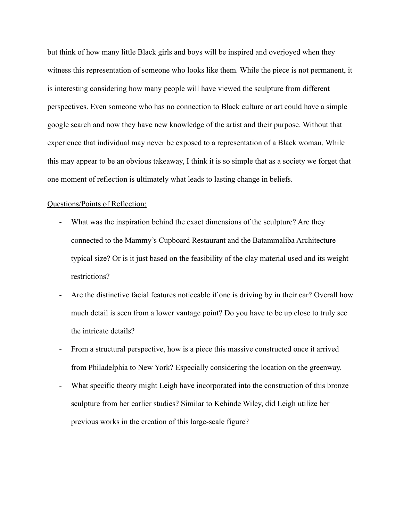but think of how many little Black girls and boys will be inspired and overjoyed when they witness this representation of someone who looks like them. While the piece is not permanent, it is interesting considering how many people will have viewed the sculpture from different perspectives. Even someone who has no connection to Black culture or art could have a simple google search and now they have new knowledge of the artist and their purpose. Without that experience that individual may never be exposed to a representation of a Black woman. While this may appear to be an obvious takeaway, I think it is so simple that as a society we forget that one moment of reflection is ultimately what leads to lasting change in beliefs.

## Questions/Points of Reflection:

- What was the inspiration behind the exact dimensions of the sculpture? Are they connected to the Mammy's Cupboard Restaurant and the Batammaliba Architecture typical size? Or is it just based on the feasibility of the clay material used and its weight restrictions?
- Are the distinctive facial features noticeable if one is driving by in their car? Overall how much detail is seen from a lower vantage point? Do you have to be up close to truly see the intricate details?
- From a structural perspective, how is a piece this massive constructed once it arrived from Philadelphia to New York? Especially considering the location on the greenway.
- What specific theory might Leigh have incorporated into the construction of this bronze sculpture from her earlier studies? Similar to Kehinde Wiley, did Leigh utilize her previous works in the creation of this large-scale figure?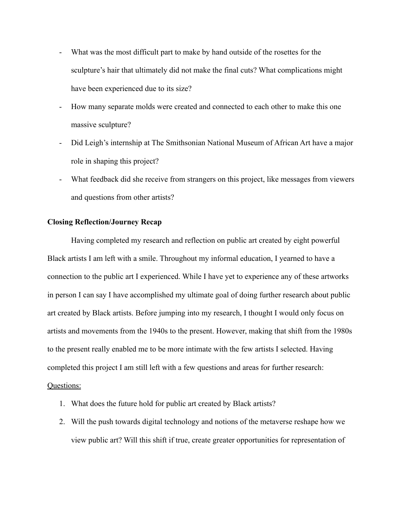- What was the most difficult part to make by hand outside of the rosettes for the sculpture's hair that ultimately did not make the final cuts? What complications might have been experienced due to its size?
- How many separate molds were created and connected to each other to make this one massive sculpture?
- Did Leigh's internship at The Smithsonian National Museum of African Art have a major role in shaping this project?
- What feedback did she receive from strangers on this project, like messages from viewers and questions from other artists?

## **Closing Reflection/Journey Recap**

Having completed my research and reflection on public art created by eight powerful Black artists I am left with a smile. Throughout my informal education, I yearned to have a connection to the public art I experienced. While I have yet to experience any of these artworks in person I can say I have accomplished my ultimate goal of doing further research about public art created by Black artists. Before jumping into my research, I thought I would only focus on artists and movements from the 1940s to the present. However, making that shift from the 1980s to the present really enabled me to be more intimate with the few artists I selected. Having completed this project I am still left with a few questions and areas for further research: Questions:

- 1. What does the future hold for public art created by Black artists?
- 2. Will the push towards digital technology and notions of the metaverse reshape how we view public art? Will this shift if true, create greater opportunities for representation of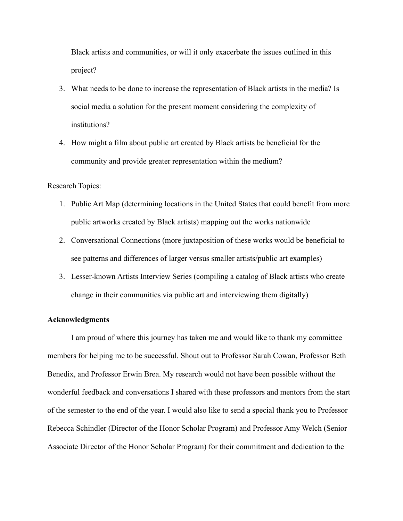Black artists and communities, or will it only exacerbate the issues outlined in this project?

- 3. What needs to be done to increase the representation of Black artists in the media? Is social media a solution for the present moment considering the complexity of institutions?
- 4. How might a film about public art created by Black artists be beneficial for the community and provide greater representation within the medium?

## Research Topics:

- 1. Public Art Map (determining locations in the United States that could benefit from more public artworks created by Black artists) mapping out the works nationwide
- 2. Conversational Connections (more juxtaposition of these works would be beneficial to see patterns and differences of larger versus smaller artists/public art examples)
- 3. Lesser-known Artists Interview Series (compiling a catalog of Black artists who create change in their communities via public art and interviewing them digitally)

## **Acknowledgments**

I am proud of where this journey has taken me and would like to thank my committee members for helping me to be successful. Shout out to Professor Sarah Cowan, Professor Beth Benedix, and Professor Erwin Brea. My research would not have been possible without the wonderful feedback and conversations I shared with these professors and mentors from the start of the semester to the end of the year. I would also like to send a special thank you to Professor Rebecca Schindler (Director of the Honor Scholar Program) and Professor Amy Welch (Senior Associate Director of the Honor Scholar Program) for their commitment and dedication to the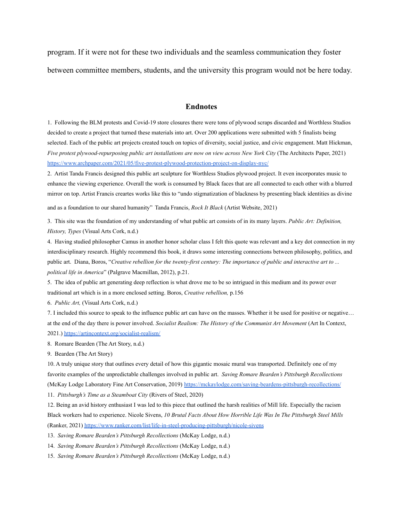program. If it were not for these two individuals and the seamless communication they foster

between committee members, students, and the university this program would not be here today.

### **Endnotes**

1. Following the BLM protests and Covid-19 store closures there were tons of plywood scraps discarded and Worthless Studios decided to create a project that turned these materials into art. Over 200 applications were submitted with 5 finalists being selected. Each of the public art projects created touch on topics of diversity, social justice, and civic engagement. Matt Hickman, *Five protest plywood-repurposing public art installations are now on view across New York City* (The Architects Paper, 2021) <https://www.archpaper.com/2021/05/five-protest-plywood-protection-project-on-display-nyc/>

2. Artist Tanda Francis designed this public art sculpture for Worthless Studios plywood project. It even incorporates music to enhance the viewing experience. Overall the work is consumed by Black faces that are all connected to each other with a blurred mirror on top. Artist Francis creartes works like this to "undo stigmatization of blackness by presenting black identities as divine

and as a foundation to our shared humanity" Tanda Francis, *Rock It Black* (Artist Website, 2021)

3. This site was the foundation of my understanding of what public art consists of in its many layers. *Public Art: Definition, History, Types* (Visual Arts Cork, n.d.)

4. Having studied philosopher Camus in another honor scholar class I felt this quote was relevant and a key dot connection in my interdisciplinary research. Highly recommend this book, it draws some interesting connections between philosophy, politics, and public art. Diana, Boros, "*Creative rebellion for the twenty-first century: The importance of public and interactive art to ... political life in America*" (Palgrave Macmillan, 2012), p.21.

5. The idea of public art generating deep reflection is what drove me to be so intrigued in this medium and its power over traditional art which is in a more enclosed setting. Boros, *Creative rebellion,* p.156

6. *Public Art,* (Visual Arts Cork, n.d.)

7. I included this source to speak to the influence public art can have on the masses. Whether it be used for positive or negative… at the end of the day there is power involved. *Socialist Realism: The History of the Communist Art Movement* (Art In Context, 2021.) <https://artincontext.org/socialist-realism/>

8. Romare Bearden (The Art Story, n.d.)

9. Bearden (The Art Story)

10. A truly unique story that outlines every detail of how this gigantic mosaic mural was transported. Definitely one of my favorite examples of the unpredictable challenges involved in public art. *Saving Romare Bearden's Pittsburgh Recollections* (McKay Lodge Laboratory Fine Art Conservation, 2019) <https://mckaylodge.com/saving-beardens-pittsburgh-recollections/>

11. *Pittsburgh's Time as a Steamboat City* (Rivers of Steel, 2020)

12. Being an avid history enthusiast I was led to this piece that outlined the harsh realities of Mill life. Especially the racism Black workers had to experience. Nicole Sivens, *10 Brutal Facts About How Horrible Life Was In The Pittsburgh Steel Mills* (Ranker, 2021) <https://www.ranker.com/list/life-in-steel-producing-pittsburgh/nicole-sivens>

13. *Saving Romare Bearden's Pittsburgh Recollections* (McKay Lodge, n.d.)

14. *Saving Romare Bearden's Pittsburgh Recollections* (McKay Lodge, n.d.)

15. *Saving Romare Bearden's Pittsburgh Recollections* (McKay Lodge, n.d.)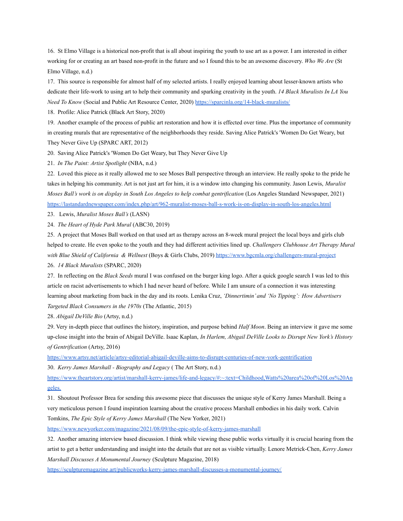16. St Elmo Village is a historical non-profit that is all about inspiring the youth to use art as a power. I am interested in either working for or creating an art based non-profit in the future and so I found this to be an awesome discovery. *Who We Are* (St Elmo Village, n.d.)

17. This source is responsible for almost half of my selected artists. I really enjoyed learning about lesser-known artists who dedicate their life-work to using art to help their community and sparking creativity in the youth. *14 Black Muralists In LA You Need To Know* (Social and Public Art Resource Center, 2020) <https://sparcinla.org/14-black-muralists/>

18. Profile: Alice Patrick (Black Art Story, 2020)

19. Another example of the process of public art restoration and how it is effected over time. Plus the importance of community in creating murals that are representative of the neighborhoods they reside. Saving Alice Patrick's 'Women Do Get Weary, but They Never Give Up (SPARC ART, 2012)

20. Saving Alice Patrick's 'Women Do Get Weary, but They Never Give Up

21. *In The Paint: Artist Spotlight* (NBA, n.d.)

22. Loved this piece as it really allowed me to see Moses Ball perspective through an interview. He really spoke to the pride he takes in helping his community. Art is not just art for him, it is a window into changing his community. Jason Lewis, *Muralist Moses Ball's work is on display in South Los Angeles to help combat gentrification* (Los Angeles Standard Newspaper, 2021) <https://lastandardnewspaper.com/index.php/art/962-muralist-moses-ball-s-work-is-on-display-in-south-los-angeles.html>

23. Lewis, *Muralist Moses Ball's* (LASN)

24. *The Heart of Hyde Park Mural* (ABC30, 2019)

25. A project that Moses Ball worked on that used art as therapy across an 8-week mural project the local boys and girls club helped to create. He even spoke to the youth and they had different activities lined up. *Challengers Clubhouse Art Therapy Mural with Blue Shield of California & Wellnest* (Boys & Girls Clubs, 2019) <https://www.bgcmla.org/challengers-mural-project>

26. *14 Black Muralists* (SPARC, 2020)

27. In reflecting on the *Black Seeds* mural I was confused on the burger king logo. After a quick google search I was led to this article on racist advertisements to which I had never heard of before. While I am unsure of a connection it was interesting learning about marketing from back in the day and its roots. Lenika Cruz, *'Dinnertimin' and 'No Tipping': How Advertisers Targeted Black Consumers in the 1970s* (The Atlantic, 2015)

28. *Abigail DeVille Bio* (Artsy, n.d.)

29. Very in-depth piece that outlines the history, inspiration, and purpose behind *Half Moon*. Being an interview it gave me some up-close insight into the brain of Abigail DeVille. Isaac Kaplan, *In Harlem, Abigail DeVille Looks to Disrupt New York's History of Gentrification* (Artsy, 2016)

<https://www.artsy.net/article/artsy-editorial-abigail-deville-aims-to-disrupt-centuries-of-new-york-gentrification>

30. *Kerry James Marshall - Biography and Legacy* ( The Art Story, n.d.)

[https://www.theartstory.org/artist/marshall-kerry-james/life-and-legacy/#:~:text=Childhood,Watts%20area%20of%20Los%20An](https://www.theartstory.org/artist/marshall-kerry-james/life-and-legacy/#:~:text=Childhood,Watts%20area%20of%20Los%20Angeles.) [geles.](https://www.theartstory.org/artist/marshall-kerry-james/life-and-legacy/#:~:text=Childhood,Watts%20area%20of%20Los%20Angeles.)

31. Shoutout Professor Brea for sending this awesome piece that discusses the unique style of Kerry James Marshall. Being a very meticulous person I found inspiration learning about the creative process Marshall embodies in his daily work. Calvin Tomkins, *The Epic Style of Kerry James Marshall* (The New Yorker, 2021)

<https://www.newyorker.com/magazine/2021/08/09/the-epic-style-of-kerry-james-marshall>

32. Another amazing interview based discussion. I think while viewing these public works virtually it is crucial hearing from the artist to get a better understanding and insight into the details that are not as visible virtually. Lenore Metrick-Chen, *Kerry James Marshall Discusses A Monumental Journey* (Sculpture Magazine, 2018)

<https://sculpturemagazine.art/publicworks-kerry-james-marshall-discusses-a-monumental-journey/>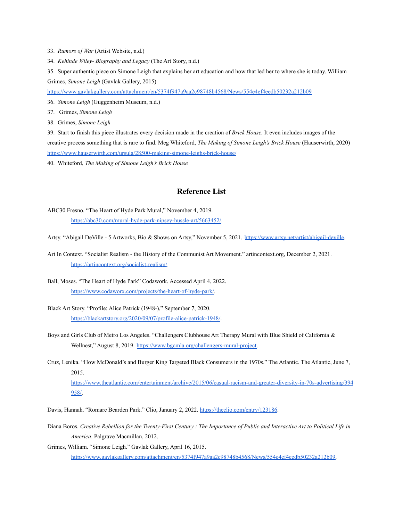- 33. *Rumors of War* (Artist Website, n.d.)
- 34. *Kehinde Wiley- Biography and Legacy* (The Art Story, n.d.)

35. Super authentic piece on Simone Leigh that explains her art education and how that led her to where she is today. William Grimes, *Simone Leigh* (Gavlak Gallery, 2015)

<https://www.gavlakgallery.com/attachment/en/5374f947a9aa2c98748b4568/News/554e4ef4eedb50232a212b09>

- 36. *Simone Leigh* (Guggenheim Museum, n.d.)
- 37. Grimes, *Simone Leigh*
- 38. Grimes, *Simone Leigh*

39. Start to finish this piece illustrates every decision made in the creation of *Brick House.* It even includes images of the creative process something that is rare to find. Meg Whiteford, *The Making of Simone Leigh's Brick House* (Hauserwirth, 2020) <https://www.hauserwirth.com/ursula/28500-making-simone-leighs-brick-house/>

40. Whiteford, *The Making of Simone Leigh's Brick House*

## **Reference List**

- ABC30 Fresno. "The Heart of Hyde Park Mural," November 4, 2019. <https://abc30.com/mural-hyde-park-nipsey-hussle-art/5663452/>.
- Artsy. "Abigail DeVille 5 Artworks, Bio & Shows on Artsy," November 5, 2021. [https://www.artsy.net/artist/abigail-deville.](https://www.artsy.net/artist/abigail-deville)
- Art In Context. "Socialist Realism the History of the Communist Art Movement." artincontext.org, December 2, 2021. <https://artincontext.org/socialist-realism/>.
- Ball, Moses. "The Heart of Hyde Park" Codawork. Accessed April 4, 2022. <https://www.codaworx.com/projects/the-heart-of-hyde-park/>.
- Black Art Story. "Profile: Alice Patrick (1948-)," September 7, 2020. [https://blackartstory.org/2020/09/07/profile-alice-patrick-1948/.](https://blackartstory.org/2020/09/07/profile-alice-patrick-1948/)
- Boys and Girls Club of Metro Los Angeles. "Challengers Clubhouse Art Therapy Mural with Blue Shield of California & Wellnest," August 8, 2019. [https://www.bgcmla.org/challengers-mural-project.](https://www.bgcmla.org/challengers-mural-project)
- Cruz, Lenika. "How McDonald's and Burger King Targeted Black Consumers in the 1970s." The Atlantic. The Atlantic, June 7, 2015.

[https://www.theatlantic.com/entertainment/archive/2015/06/casual-racism-and-greater-diversity-in-70s-advertising/394](https://www.theatlantic.com/entertainment/archive/2015/06/casual-racism-and-greater-diversity-in-70s-advertising/394958/) [958/](https://www.theatlantic.com/entertainment/archive/2015/06/casual-racism-and-greater-diversity-in-70s-advertising/394958/).

Davis, Hannah. "Romare Bearden Park." Clio, January 2, 2022. <https://theclio.com/entry/123186>.

- Diana Boros. *Creative Rebellion for the Twenty-First Century : The Importance of Public and Interactive Art to Political Life in America*. Palgrave Macmillan, 2012.
- Grimes, William. "Simone Leigh." Gavlak Gallery, April 16, 2015. [https://www.gavlakgallery.com/attachment/en/5374f947a9aa2c98748b4568/News/554e4ef4eedb50232a212b09.](https://www.gavlakgallery.com/attachment/en/5374f947a9aa2c98748b4568/News/554e4ef4eedb50232a212b09)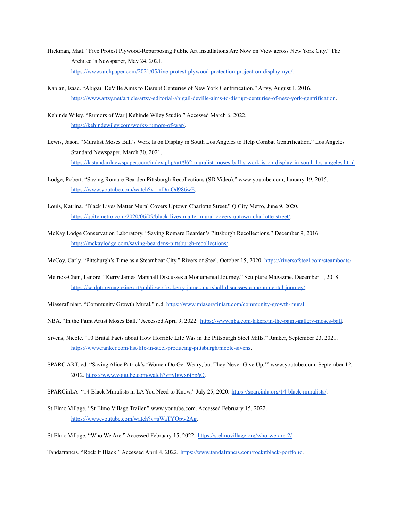- Hickman, Matt. "Five Protest Plywood-Repurposing Public Art Installations Are Now on View across New York City." The Architect's Newspaper, May 24, 2021. <https://www.archpaper.com/2021/05/five-protest-plywood-protection-project-on-display-nyc/>.
- Kaplan, Isaac. "Abigail DeVille Aims to Disrupt Centuries of New York Gentrification." Artsy, August 1, 2016. <https://www.artsy.net/article/artsy-editorial-abigail-deville-aims-to-disrupt-centuries-of-new-york-gentrification>.
- Kehinde Wiley. "Rumors of War | Kehinde Wiley Studio." Accessed March 6, 2022. [https://kehindewiley.com/works/rumors-of-war/.](https://kehindewiley.com/works/rumors-of-war/)
- Lewis, Jason. "Muralist Moses Ball's Work Is on Display in South Los Angeles to Help Combat Gentrification." Los Angeles Standard Newspaper, March 30, 2021. <https://lastandardnewspaper.com/index.php/art/962-muralist-moses-ball-s-work-is-on-display-in-south-los-angeles.html>
- Lodge, Robert. "Saving Romare Bearden Pittsburgh Recollections (SD Video)." www.youtube.com, January 19, 2015. [https://www.youtube.com/watch?v=-xDmOd986wE.](https://www.youtube.com/watch?v=-xDmOd986wE)
- Louis, Katrina. "Black Lives Matter Mural Covers Uptown Charlotte Street." Q City Metro, June 9, 2020. [https://qcitymetro.com/2020/06/09/black-lives-matter-mural-covers-uptown-charlotte-street/.](https://qcitymetro.com/2020/06/09/black-lives-matter-mural-covers-uptown-charlotte-street/)
- McKay Lodge Conservation Laboratory. "Saving Romare Bearden's Pittsburgh Recollections," December 9, 2016. [https://mckaylodge.com/saving-beardens-pittsburgh-recollections/.](https://mckaylodge.com/saving-beardens-pittsburgh-recollections/)
- McCoy, Carly. "Pittsburgh's Time as a Steamboat City." Rivers of Steel, October 15, 2020. [https://riversofsteel.com/steamboats/.](https://riversofsteel.com/steamboats/)
- Metrick-Chen, Lenore. "Kerry James Marshall Discusses a Monumental Journey." Sculpture Magazine, December 1, 2018. [https://sculpturemagazine.art/publicworks-kerry-james-marshall-discusses-a-monumental-journey/.](https://sculpturemagazine.art/publicworks-kerry-james-marshall-discusses-a-monumental-journey/)
- Miaserafiniart. "Community Growth Mural," n.d. [https://www.miaserafiniart.com/community-growth-mural.](https://www.miaserafiniart.com/community-growth-mural)
- NBA. "In the Paint Artist Moses Ball." Accessed April 9, 2022. [https://www.nba.com/lakers/in-the-paint-gallery-moses-ball.](https://www.nba.com/lakers/in-the-paint-gallery-moses-ball)
- Sivens, Nicole. "10 Brutal Facts about How Horrible Life Was in the Pittsburgh Steel Mills." Ranker, September 23, 2021. [https://www.ranker.com/list/life-in-steel-producing-pittsburgh/nicole-sivens.](https://www.ranker.com/list/life-in-steel-producing-pittsburgh/nicole-sivens)
- SPARC ART, ed. "Saving Alice Patrick's 'Women Do Get Weary, but They Never Give Up.'" www.youtube.com, September 12, 2012. [https://www.youtube.com/watch?v=yIgwx6tbp6Q.](https://www.youtube.com/watch?v=yIgwx6tbp6Q)
- SPARCinLA. "14 Black Muralists in LA You Need to Know," July 25, 2020. [https://sparcinla.org/14-black-muralists/.](https://sparcinla.org/14-black-muralists/)
- St Elmo Village. "St Elmo Village Trailer." www.youtube.com. Accessed February 15, 2022. [https://www.youtube.com/watch?v=sWaTYOpw2Ag.](https://www.youtube.com/watch?v=sWaTYOpw2Ag)
- St Elmo Village. "Who We Are." Accessed February 15, 2022. [https://stelmovillage.org/who-we-are-2/.](https://stelmovillage.org/who-we-are-2/)

Tandafrancis. "Rock It Black." Accessed April 4, 2022. [https://www.tandafrancis.com/rockitblack-portfolio.](https://www.tandafrancis.com/rockitblack-portfolio)